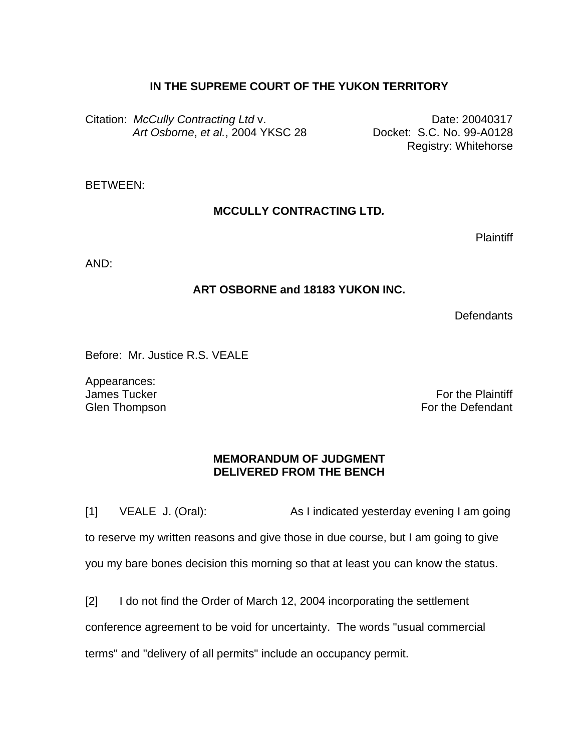## **IN THE SUPREME COURT OF THE YUKON TERRITORY**

Citation: *McCully Contracting Ltd v.* **Date: 20040317**  *Art Osborne*, *et al.*, 2004 YKSC 28 Docket: S.C. No. 99-A0128

Registry: Whitehorse

BETWEEN:

## **MCCULLY CONTRACTING LTD***.*

Plaintiff

AND:

## **ART OSBORNE and 18183 YUKON INC.**

**Defendants** 

Before: Mr. Justice R.S. VEALE

Appearances: James Tucker Glen Thompson

For the Plaintiff For the Defendant

## **MEMORANDUM OF JUDGMENT DELIVERED FROM THE BENCH**

[1] VEALE J. (Oral): As I indicated yesterday evening I am going to reserve my written reasons and give those in due course, but I am going to give you my bare bones decision this morning so that at least you can know the status.

[2] I do not find the Order of March 12, 2004 incorporating the settlement conference agreement to be void for uncertainty. The words "usual commercial terms" and "delivery of all permits" include an occupancy permit.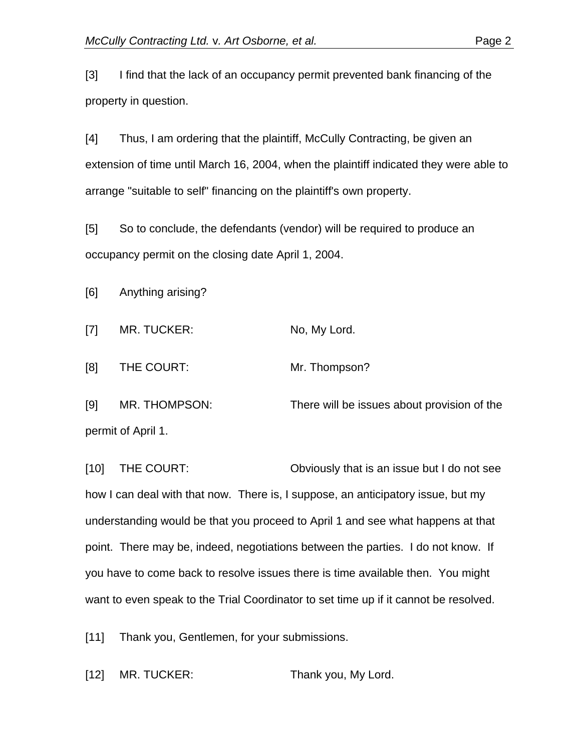[3] I find that the lack of an occupancy permit prevented bank financing of the property in question.

[4] Thus, I am ordering that the plaintiff, McCully Contracting, be given an extension of time until March 16, 2004, when the plaintiff indicated they were able to arrange "suitable to self" financing on the plaintiff's own property.

[5] So to conclude, the defendants (vendor) will be required to produce an occupancy permit on the closing date April 1, 2004.

[6] Anything arising?

[7] MR. TUCKER: No, My Lord.

[8] THE COURT: Mr. Thompson?

[9] MR. THOMPSON: There will be issues about provision of the permit of April 1.

[10] THE COURT: Obviously that is an issue but I do not see how I can deal with that now. There is, I suppose, an anticipatory issue, but my understanding would be that you proceed to April 1 and see what happens at that point. There may be, indeed, negotiations between the parties. I do not know. If you have to come back to resolve issues there is time available then. You might want to even speak to the Trial Coordinator to set time up if it cannot be resolved.

[11] Thank you, Gentlemen, for your submissions.

[12] MR. TUCKER: Thank you, My Lord.